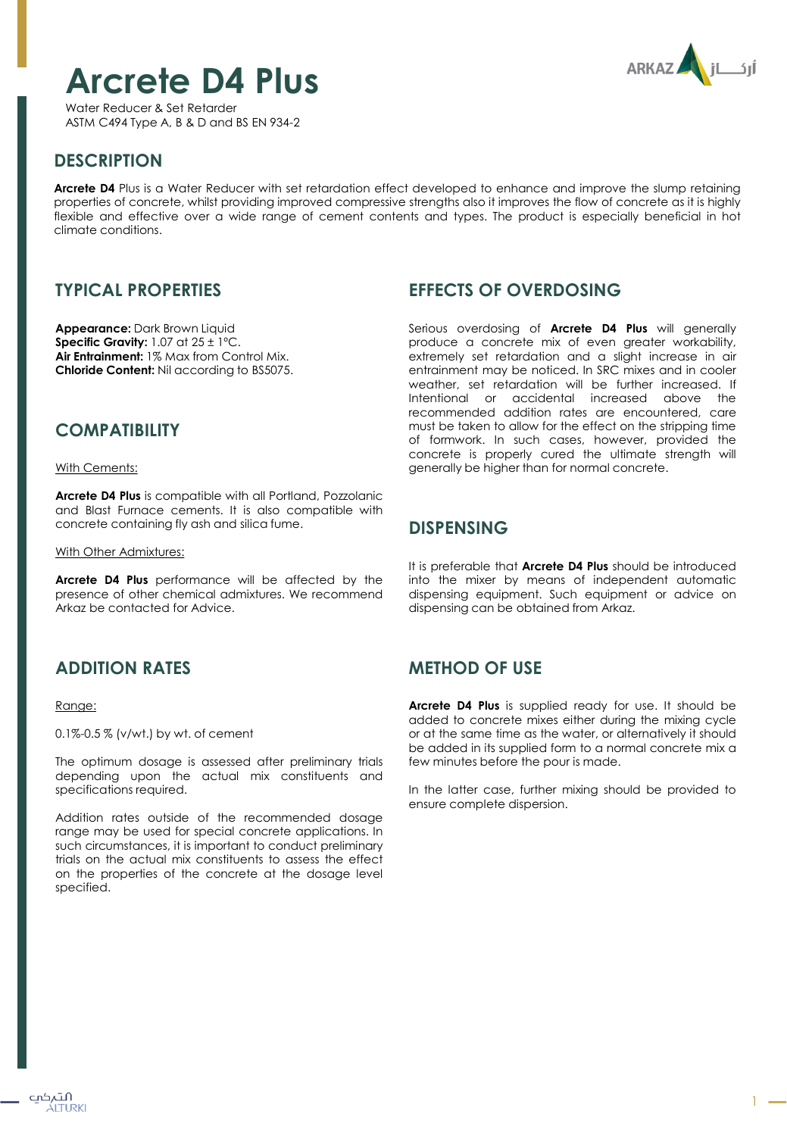# **Arcrete D4 Plus**



Water Reducer & Set Retarder ASTM C494 Type A, B & D and BS EN 934-2

# **DESCRIPTION**

**Arcrete D4** Plus is a Water Reducer with set retardation effect developed to enhance and improve the slump retaining properties of concrete, whilst providing improved compressive strengths also it improves the flow of concrete as it is highly flexible and effective over a wide range of cement contents and types. The product is especially beneficial in hot climate conditions.

# **TYPICAL PROPERTIES**

**Appearance:** Dark Brown Liquid **Specific Gravity:** 1.07 at 25 ± 1ºC. **Air Entrainment:** 1% Max from Control Mix. **Chloride Content:** Nil according to BS5075.

### **COMPATIBILITY**

With Cements:

**Arcrete D4 Plus** is compatible with all Portland, Pozzolanic and Blast Furnace cements. It is also compatible with concrete containing fly ash and silica fume.

With Other Admixtures:

**Arcrete D4 Plus** performance will be affected by the presence of other chemical admixtures. We recommend Arkaz be contacted for Advice.

# **ADDITION RATES**

#### Range:

0.1%-0.5 % (v/wt.) by wt. of cement

The optimum dosage is assessed after preliminary trials depending upon the actual mix constituents and specifications required.

Addition rates outside of the recommended dosage range may be used for special concrete applications. In such circumstances, it is important to conduct preliminary trials on the actual mix constituents to assess the effect on the properties of the concrete at the dosage level specified.

## **EFFECTS OF OVERDOSING**

Serious overdosing of **Arcrete D4 Plus** will generally produce a concrete mix of even greater workability, extremely set retardation and a slight increase in air entrainment may be noticed. In SRC mixes and in cooler weather, set retardation will be further increased. If Intentional or accidental increased above the recommended addition rates are encountered, care must be taken to allow for the effect on the stripping time of formwork. In such cases, however, provided the concrete is properly cured the ultimate strength will generally be higher than for normal concrete.

#### **DISPENSING**

It is preferable that **Arcrete D4 Plus** should be introduced into the mixer by means of independent automatic dispensing equipment. Such equipment or advice on dispensing can be obtained from Arkaz.

# **METHOD OF USE**

**Arcrete D4 Plus** is supplied ready for use. It should be added to concrete mixes either during the mixing cycle or at the same time as the water, or alternatively it should be added in its supplied form to a normal concrete mix a few minutes before the pour is made.

In the latter case, further mixing should be provided to ensure complete dispersion.